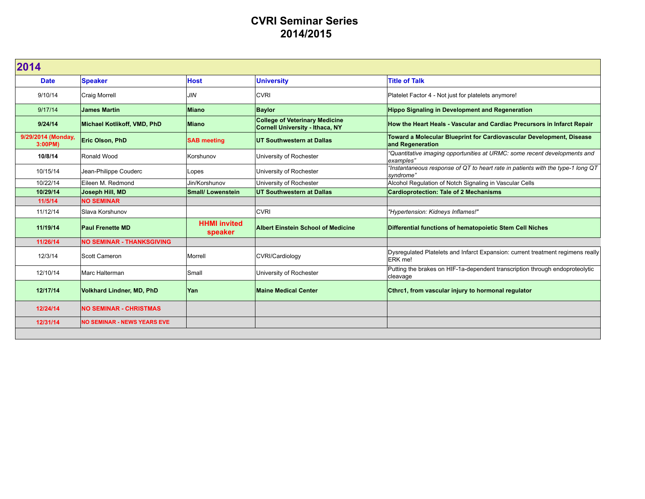## **CVRI Seminar Series 2014/2015**

| 2014                          |                                    |                                |                                                                                 |                                                                                              |  |  |
|-------------------------------|------------------------------------|--------------------------------|---------------------------------------------------------------------------------|----------------------------------------------------------------------------------------------|--|--|
| <b>Date</b>                   | <b>Speaker</b>                     | <b>Host</b>                    | <b>University</b>                                                               | <b>Title of Talk</b>                                                                         |  |  |
| 9/10/14                       | <b>Craig Morrell</b>               | JIN                            | <b>CVRI</b>                                                                     | Platelet Factor 4 - Not just for platelets anymore!                                          |  |  |
| 9/17/14                       | James Martin                       | Miano                          | <b>Baylor</b>                                                                   | <b>Hippo Signaling in Development and Regeneration</b>                                       |  |  |
| 9/24/14                       | Michael Kotlikoff, VMD, PhD        | <b>Miano</b>                   | <b>College of Veterinary Medicine</b><br><b>Cornell University - Ithaca, NY</b> | How the Heart Heals - Vascular and Cardiac Precursors in Infarct Repair                      |  |  |
| 9/29/2014 (Monday,<br>3:00PM) | Eric Olson, PhD                    | <b>SAB meeting</b>             | <b>UT Southwestern at Dallas</b>                                                | Toward a Molecular Blueprint for Cardiovascular Development, Disease<br>and Regeneration     |  |  |
| 10/8/14                       | Ronald Wood                        | Korshunov                      | University of Rochester                                                         | "Quantitative imaging opportunities at URMC: some recent developments and<br>examples"       |  |  |
| 10/15/14                      | Jean-Philippe Couderc              | Lopes                          | University of Rochester                                                         | "Instantaneous response of QT to heart rate in patients with the type-1 long QT<br>syndrome" |  |  |
| 10/22/14                      | Eileen M. Redmond                  | Jin/Korshunov                  | University of Rochester                                                         | Alcohol Regulation of Notch Signaling in Vascular Cells                                      |  |  |
| 10/29/14                      | Joseph Hill, MD                    | <b>Small/ Lowenstein</b>       | <b>UT Southwestern at Dallas</b>                                                | <b>Cardioprotection: Tale of 2 Mechanisms</b>                                                |  |  |
| 11/5/14                       | <b>NO SEMINAR</b>                  |                                |                                                                                 |                                                                                              |  |  |
| 11/12/14                      | Slava Korshunov                    |                                | <b>CVRI</b>                                                                     | "Hypertension: Kidneys Inflames!"                                                            |  |  |
| 11/19/14                      | <b>Paul Frenette MD</b>            | <b>HHMI</b> invited<br>speaker | <b>Albert Einstein School of Medicine</b>                                       | Differential functions of hematopoietic Stem Cell Niches                                     |  |  |
| 11/26/14                      | <b>NO SEMINAR - THANKSGIVING</b>   |                                |                                                                                 |                                                                                              |  |  |
| 12/3/14                       | Scott Cameron                      | Morrell                        | CVRI/Cardiology                                                                 | Dysregulated Platelets and Infarct Expansion: current treatment regimens really<br>ERK me!   |  |  |
| 12/10/14                      | Marc Halterman                     | Small                          | University of Rochester                                                         | Putting the brakes on HIF-1a-dependent transcription through endoproteolytic<br>cleavage     |  |  |
| 12/17/14                      | <b>Volkhard Lindner, MD, PhD</b>   | <b>Yan</b>                     | <b>Maine Medical Center</b>                                                     | Cthrc1, from vascular injury to hormonal regulator                                           |  |  |
| 12/24/14                      | <b>NO SEMINAR - CHRISTMAS</b>      |                                |                                                                                 |                                                                                              |  |  |
| 12/31/14                      | <b>NO SEMINAR - NEWS YEARS EVE</b> |                                |                                                                                 |                                                                                              |  |  |
|                               |                                    |                                |                                                                                 |                                                                                              |  |  |